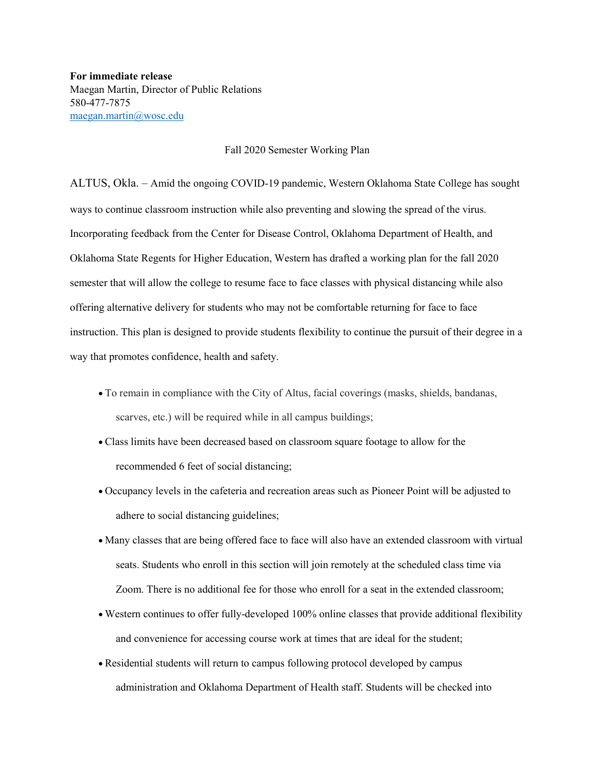**For immediate release** Maegan Martin, Director of Public Relations 580-477-7875 [maegan.martin@wosc.edu](mailto:maegan.martin@wosc.edu)

## Fall 2020 Semester Working Plan

ALTUS, Okla. – Amid the ongoing COVID-19 pandemic, Western Oklahoma State College has sought ways to continue classroom instruction while also preventing and slowing the spread of the virus. Incorporating feedback from the Center for Disease Control, Oklahoma Department of Health, and Oklahoma State Regents for Higher Education, Western has drafted a working plan for the fall 2020 semester that will allow the college to resume face to face classes with physical distancing while also offering alternative delivery for students who may not be comfortable returning for face to face instruction. This plan is designed to provide students flexibility to continue the pursuit of their degree in a way that promotes confidence, health and safety.

- To remain in compliance with the City of Altus, facial coverings (masks, shields, bandanas, scarves, etc.) will be required while in all campus buildings;
- Class limits have been decreased based on classroom square footage to allow for the recommended 6 feet of social distancing;
- Occupancy levels in the cafeteria and recreation areas such as Pioneer Point will be adjusted to adhere to social distancing guidelines;
- Many classes that are being offered face to face will also have an extended classroom with virtual seats. Students who enroll in this section will join remotely at the scheduled class time via Zoom. There is no additional fee for those who enroll for a seat in the extended classroom;
- Western continues to offer fully-developed 100% online classes that provide additional flexibility and convenience for accessing course work at times that are ideal for the student;
- Residential students will return to campus following protocol developed by campus administration and Oklahoma Department of Health staff. Students will be checked into